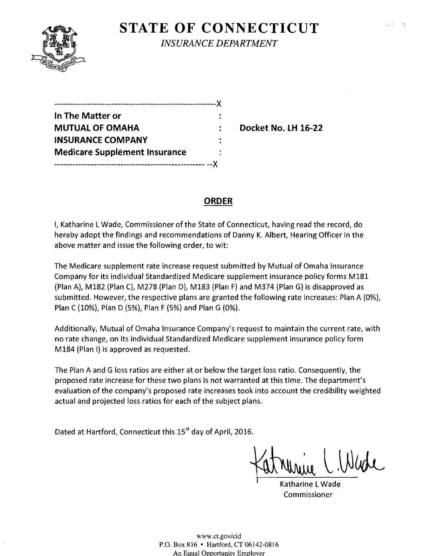

# **STATE OF CONNECTICUT**

*INSURANCE DEPARTMENT* 

| ---------------------------------    |  |
|--------------------------------------|--|
| In The Matter or                     |  |
| <b>MUTUAL OF OMAHA</b>               |  |
| <b>INSURANCE COMPANY</b>             |  |
| <b>Medicare Supplement Insurance</b> |  |
|                                      |  |

**Docket No. LH 16-22** 

# **ORDER**

I, Katharine L Wade, Commissioner of the State of Connecticut, having read the record, do hereby adopt the findings and recommendations of Danny K. Albert, Hearing Officer in the above matter and issue the following order, to wit:

The Medicare supplement rate increase request submitted by Mutual of Omaha Insurance Company for its individual Standardized Medicare supplement insurance policy forms M181 (Plan A), M182 (Plan C), M278 (Plan D), M183 (Plan F) and M374 (Plan G) is disapproved as submitted. However, the respective plans are granted the following rate increases: Plan A (O%), Plan C (10%), Plan D (5%), Plan F (5%) and Plan G (O%).

Additionally, Mutual of Omaha Insurance Company's request to maintain the current rate, with no rate change, on its individual Standardized Medicare supplement insurance policy form M184 (Plan I) is approved as requested.

The Plan A and G loss ratios are either at or below the target loss ratio. Consequently, the proposed rate increase for these two plans is not warranted at this time. The department's evaluation ofthe company's proposed rate increases took into account the credibility weighted actual and projected loss ratios for each of the subject plans.

Dated at Hartford, Connecticut this 15<sup>st</sup> day of April, 2016.

Katharine L Wade Commissioner

www.ct.gov/cid P.O. Box 816 • Hartford, CT 06142-0816 An Equal Opportunity Employer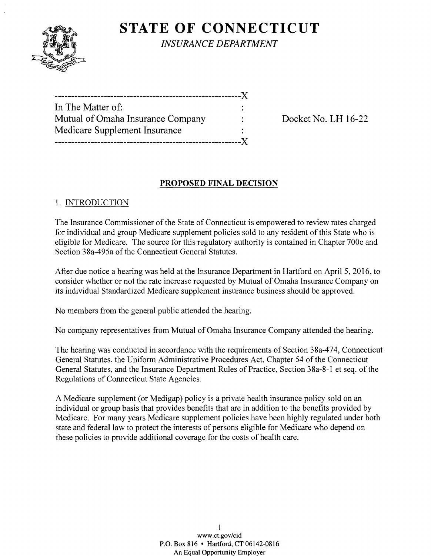

**STATE OF CONNECTICUT** *INSURANCE DEPARTMENT* 

| In The Matter of:                 |  |
|-----------------------------------|--|
| Mutual of Omaha Insurance Company |  |
| Medicare Supplement Insurance     |  |
|                                   |  |

Docket No. LH 16-22

# **PROPOSED FINAL DECISION**

## 1. INTRODUCTION

The Insurance Commissioner of the State of Connecticut is empowered to review rates charged for individual and group Medicare supplement policies sold to any resident of this State who is eligible for Medicare. The source for this regulatory authority is contained in Chapter 700c and Section 38a-495a of the Connecticut General Statutes.

After due notice a hearing was held at the Insurance Department in Hartford on April 5,2016, to consider whether or not the rate increase requested by Mutual of Omaha Insurance Company on its individual Standardized Medicare supplement insurance business should be approved.

No members from the general public attended the hearing.

No company representatives from Mutual of Omaha Insurance Company attended the hearing.

The hearing was conducted in accordance with the requirements of Section 38a-474, Connecticut General Statutes, the Uniform Administrative Procedures Act, Chapter 54 of the Connecticut General Statutes, and the Insurance Department Rules of Practice, Section 38a-8-1 et seq. of the Regulations of Connecticut State Agencies.

A Medicare supplement (or Medigap) policy is a private health insurance policy sold on an individual or group basis that provides benefits that are in addition to the benefits provided by Medicare. For many years Medicare supplement policies have been highly regulated under both state and federal law to protect the interests of persons eligible for Medicare who depend on these policies to provide additional coverage for the costs of health care.

> 1 www.ct.gov/cid P.O. Box 816 • Hartford, CT 06142-0816 An Equal Opportunity Employer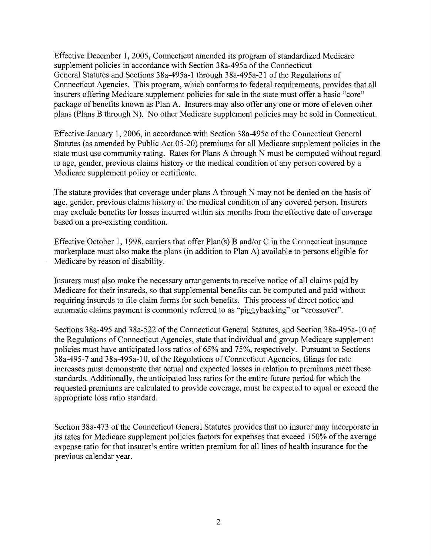Effective December 1, 2005, Connecticut amended its program of standardized Medicare supplement policies in accordance with Section 38a-495a of the Connecticut General Statutes and Sections 38a-495a-1 through 38a-495a-21 of the Regulations of Connecticut Agencies. This program, which conforms to federal requirements, provides that all insurers offering Medicare supplement policies for sale in the state must offer a basic "core" package of benefits known as Plan A. Insurers may also offer anyone or more of eleven other plans (Plans B through N). No other Medicare supplement policies may be sold in Connecticut.

Effective January 1,2006, in accordance with Section 38a-495c of the Connecticut General Statutes (as amended by Public Act 05-20) premiums for all Medicare supplement policies in the state must use community rating. Rates for Plans A through N must be computed without regard to age, gender, previous claims history or the medical condition of any person covered by a Medicare supplement policy or certificate.

The statute provides that coverage under plans A through N may not be denied on the basis of age, gender, previous claims history of the medical condition of any covered person. Insurers may exclude benefits for losses incurred within six months from the effective date of coverage based on a pre-existing condition.

Effective October 1, 1998, carriers that offer  $Plan(s)$  B and/or C in the Connecticut insurance marketplace must also make the plans (in addition to Plan A) available to persons eligible for Medicare by reason of disability.

Insurers must also make the necessary arrangements to receive notice of all claims paid by Medicare for their insureds, so that supplemental benefits can be computed and paid without requiring insureds to file claim forms for such benefits. This process of direct notice and automatic claims payment is commonly referred to as "piggybacking" or "crossover".

Sections 38a-495 and 38a-522 of the Connecticut General Statutes, and Section 38a-495a-10 of the Regulations of Connecticut Agencies, state that individual and group Medicare supplement policies must have anticipated loss ratios of 65% and 75%, respectively. Pursuant to Sections 38a-495-7 and 38a-495a-10, of the Regulations of Connecticut Agencies, filings for rate increases must demonstrate that actual and expected losses in relation to premiums meet these standards. Additionally, the anticipated loss ratios for the entire future period for which the requested premiums are calculated to provide coverage, must be expected to equal or exceed the appropriate loss ratio standard.

Section 38a-473 of the Connecticut General Statutes provides that no insurer may incorporate in its rates for Medicare supplement policies factors for expenses that exceed 150% of the average expense ratio for that insurer's entire written premium for all lines of health insurance for the previous calendar year.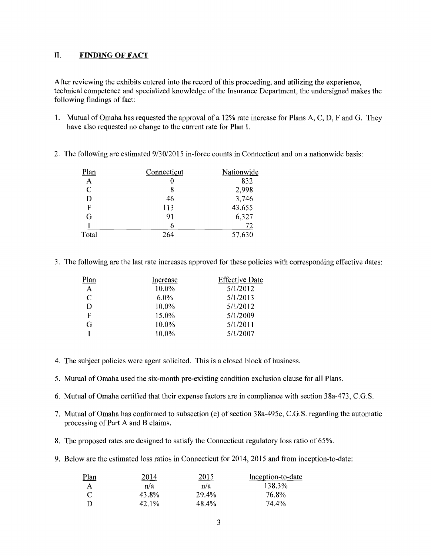### II. **FINDING OF FACT**

After reviewing the exhibits entered into the record of this proceeding, and utilizing the experience, technical competence and specialized knowledge of the Insurance Department, the undersigned makes the following findings of fact:

- 1. Mutual of Omaha has requested the approval of a 12% rate increase for Plans A, C, D, F and G. They have also requested no change to the current rate for Plan I.
- 2. The following are estimated 9/30/2015 in-force counts in Connecticut and on a nationwide basis:

| Plan        | Connecticut | Nationwide |
|-------------|-------------|------------|
| A           |             | 832        |
| $\mathbf C$ | 8           | 2,998      |
| D           | 46          | 3,746      |
| F           | 113         | 43,655     |
| G           | 91          | 6,327      |
|             | h           | 72         |
| Total       | 264         | 57,630     |

3. The following are the last rate increases approved for these policies with corresponding effective dates:

| Plan         | Increase | <b>Effective Date</b> |
|--------------|----------|-----------------------|
| $\mathbf{A}$ | $10.0\%$ | 5/1/2012              |
| C            | $6.0\%$  | 5/1/2013              |
| D            | $10.0\%$ | 5/1/2012              |
| F            | 15.0%    | 5/1/2009              |
| G            | 10.0%    | 5/1/2011              |
|              | 10.0%    | 5/1/2007              |

- 4. The subject policies were agent solicited. This is a closed block of business.
- 5. Mutual of Omaha used the six-month pre-existing condition exclusion clause for all Plans.
- 6. Mutual of Omaha certified that their expense factors are in compliance with section 38a-473, C.G.S.
- 7. Mutual of Omaha has conformed to subsection (e) of section 38a-495c, C.G.S. regarding the automatic processing of Part A and B claims.
- 8. The proposed rates are designed to satisfy the Connecticut regulatory loss ratio of 65%.
- 9. Below are the estimated loss ratios in Connecticut for 2014, 2015 and from inception-to-date:

| <u>Plan</u> | 2014  | 2015  | Inception-to-date |
|-------------|-------|-------|-------------------|
| A           | n/a   | n/a   | 138.3%            |
| $\epsilon$  | 43.8% | 29.4% | 76.8%             |
|             | 42.1% | 48.4% | 74.4%             |